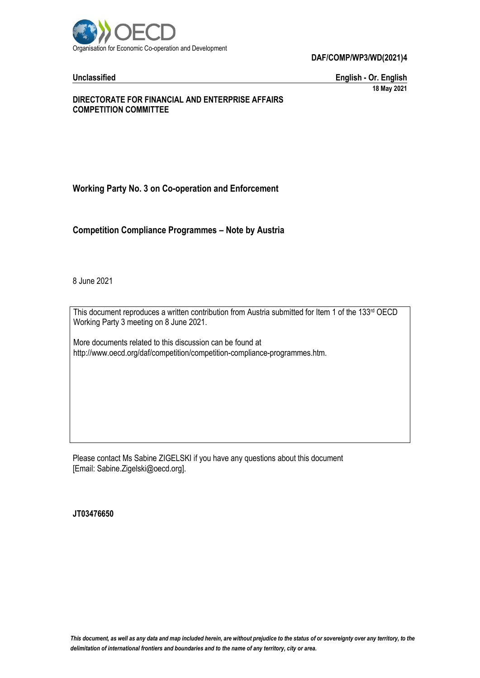

**DAF/COMP/WP3/WD(2021)4**

**Unclassified English - Or. English 18 May 2021**

#### **DIRECTORATE FOR FINANCIAL AND ENTERPRISE AFFAIRS COMPETITION COMMITTEE**

# **Working Party No. 3 on Co-operation and Enforcement**

**Competition Compliance Programmes – Note by Austria**

8 June 2021

This document reproduces a written contribution from Austria submitted for Item 1 of the 133rd OECD Working Party 3 meeting on 8 June 2021.

More documents related to this discussion can be found at http://www.oecd.org/daf/competition/competition-compliance-programmes.htm.

Please contact Ms Sabine ZIGELSKI if you have any questions about this document [Email: Sabine.Zigelski@oecd.org].

**JT03476650**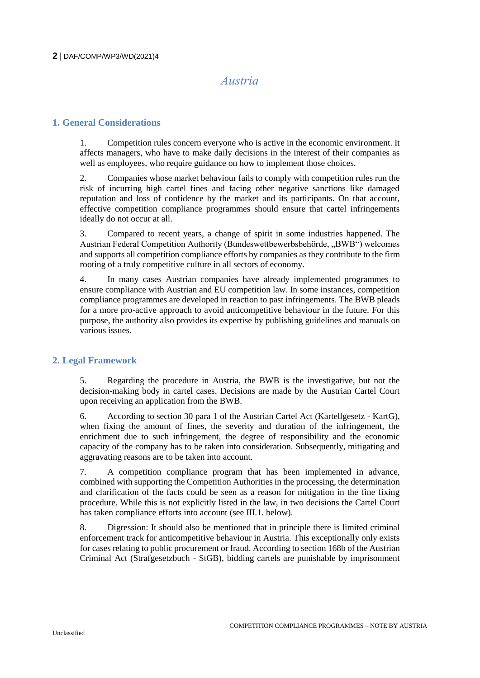# *Austria*

### **1. General Considerations**

1. Competition rules concern everyone who is active in the economic environment. It affects managers, who have to make daily decisions in the interest of their companies as well as employees, who require guidance on how to implement those choices.

2. Companies whose market behaviour fails to comply with competition rules run the risk of incurring high cartel fines and facing other negative sanctions like damaged reputation and loss of confidence by the market and its participants. On that account, effective competition compliance programmes should ensure that cartel infringements ideally do not occur at all.

3. Compared to recent years, a change of spirit in some industries happened. The Austrian Federal Competition Authority (Bundeswettbewerbsbehörde, "BWB") welcomes and supports all competition compliance efforts by companies as they contribute to the firm rooting of a truly competitive culture in all sectors of economy.

4. In many cases Austrian companies have already implemented programmes to ensure compliance with Austrian and EU competition law. In some instances, competition compliance programmes are developed in reaction to past infringements. The BWB pleads for a more pro-active approach to avoid anticompetitive behaviour in the future. For this purpose, the authority also provides its expertise by publishing guidelines and manuals on various issues.

# **2. Legal Framework**

5. Regarding the procedure in Austria, the BWB is the investigative, but not the decision-making body in cartel cases. Decisions are made by the Austrian Cartel Court upon receiving an application from the BWB.

6. According to section 30 para 1 of the Austrian Cartel Act (Kartellgesetz - KartG), when fixing the amount of fines, the severity and duration of the infringement, the enrichment due to such infringement, the degree of responsibility and the economic capacity of the company has to be taken into consideration. Subsequently, mitigating and aggravating reasons are to be taken into account.

7. A competition compliance program that has been implemented in advance, combined with supporting the Competition Authorities in the processing, the determination and clarification of the facts could be seen as a reason for mitigation in the fine fixing procedure. While this is not explicitly listed in the law, in two decisions the Cartel Court has taken compliance efforts into account (see III.1. below).

8. Digression: It should also be mentioned that in principle there is limited criminal enforcement track for anticompetitive behaviour in Austria. This exceptionally only exists for cases relating to public procurement or fraud. According to section 168b of the Austrian Criminal Act (Strafgesetzbuch - StGB), bidding cartels are punishable by imprisonment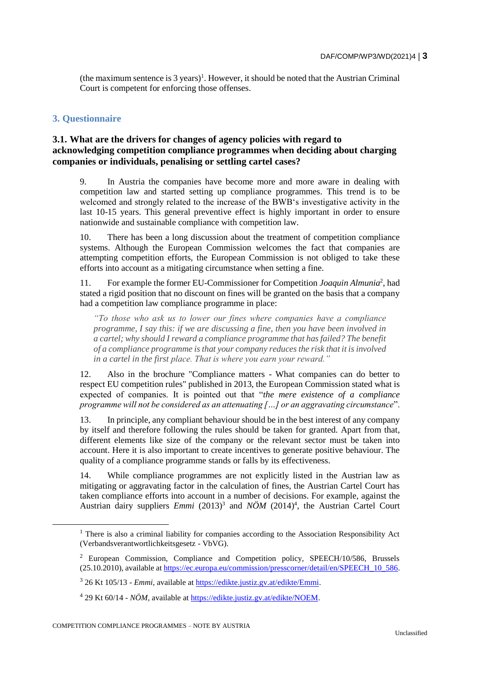$(the maximum sentence is 3 years)<sup>1</sup>. However, it should be noted that the Austrian Criminal$ Court is competent for enforcing those offenses.

# **3. Questionnaire**

 $\overline{a}$ 

# **3.1. What are the drivers for changes of agency policies with regard to acknowledging competition compliance programmes when deciding about charging companies or individuals, penalising or settling cartel cases?**

9. In Austria the companies have become more and more aware in dealing with competition law and started setting up compliance programmes. This trend is to be welcomed and strongly related to the increase of the BWB's investigative activity in the last 10-15 years. This general preventive effect is highly important in order to ensure nationwide and sustainable compliance with competition law.

10. There has been a long discussion about the treatment of competition compliance systems. Although the European Commission welcomes the fact that companies are attempting competition efforts, the European Commission is not obliged to take these efforts into account as a mitigating circumstance when setting a fine.

11. For example the former EU-Commissioner for Competition *Joaquin Almunia*<sup>2</sup> , had stated a rigid position that no discount on fines will be granted on the basis that a company had a competition law compliance programme in place:

*"To those who ask us to lower our fines where companies have a compliance programme, I say this: if we are discussing a fine, then you have been involved in a cartel; why should I reward a compliance programme that has failed? The benefit of a compliance programme is that your company reduces the risk that it is involved in a cartel in the first place. That is where you earn your reward."*

12. Also in the brochure "Compliance matters - What companies can do better to respect EU competition rules" published in 2013, the European Commission stated what is expected of companies. It is pointed out that "*the mere existence of a compliance programme will not be considered as an attenuating […] or an aggravating circumstance*".

13. In principle, any compliant behaviour should be in the best interest of any company by itself and therefore following the rules should be taken for granted. Apart from that, different elements like size of the company or the relevant sector must be taken into account. Here it is also important to create incentives to generate positive behaviour. The quality of a compliance programme stands or falls by its effectiveness.

14. While compliance programmes are not explicitly listed in the Austrian law as mitigating or aggravating factor in the calculation of fines, the Austrian Cartel Court has taken compliance efforts into account in a number of decisions. For example, against the Austrian dairy suppliers *Emmi*  $(2013)^3$  and *NÖM*  $(2014)^4$ , the Austrian Cartel Court

<sup>&</sup>lt;sup>1</sup> There is also a criminal liability for companies according to the Association Responsibility Act (Verbandsverantwortlichkeitsgesetz - VbVG).

<sup>2</sup> European Commission, Compliance and Competition policy, SPEECH/10/586, Brussels (25.10.2010), available at [https://ec.europa.eu/commission/presscorner/detail/en/SPEECH\\_10\\_586.](https://ec.europa.eu/commission/presscorner/detail/en/SPEECH_10_586)

<sup>&</sup>lt;sup>3</sup> 26 Kt 105/13 - *Emmi*, available at <u>https://edikte.justiz.gv.at/edikte/Emmi</u>.

<sup>&</sup>lt;sup>4</sup> 29 Kt 60/14 - *NÖM*, available at [https://edikte.justiz.gv.at/edikte/NOEM.](https://edikte.justiz.gv.at/edikte/ek/ekedi17.nsf/suchedi?SearchView&subf=vek&SearchOrder=4&SearchMax=4999&retfields=~%5bBetSchlag%5d=N%C3%96M%20AG&ftquery=&query=((%5bBeteiligte%5d=(N%C3%96M%20AG))%20OR%20(%5bSchlagworte%5d=(N%C3%96M%20AG)))#1620911340061)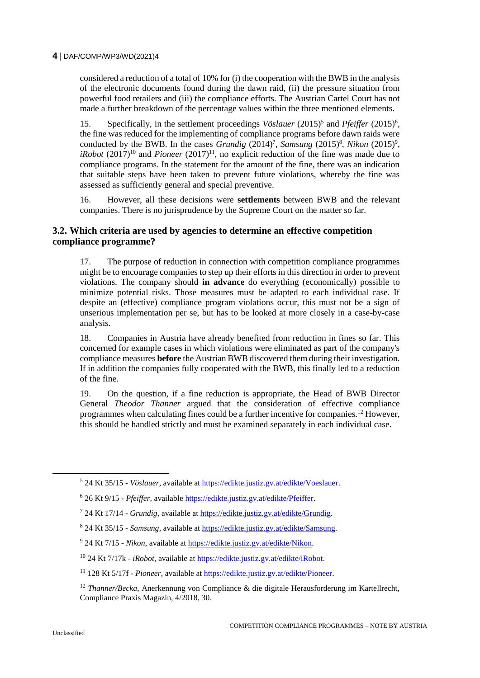#### **4** DAF/COMP/WP3/WD(2021)4

considered a reduction of a total of 10% for (i) the cooperation with the BWB in the analysis of the electronic documents found during the dawn raid, (ii) the pressure situation from powerful food retailers and (iii) the compliance efforts. The Austrian Cartel Court has not made a further breakdown of the percentage values within the three mentioned elements.

15. Specifically, in the settlement proceedings *Vöslauer* (2015)<sup>5</sup> and *Pfeiffer* (2015)<sup>6</sup>, the fine was reduced for the implementing of compliance programs before dawn raids were conducted by the BWB. In the cases *Grundig*  $(2014)^7$ , *Samsung*  $(2015)^8$ , *Nikon*  $(2015)^9$ ,  $iRobot$  (2017)<sup>10</sup> and *Pioneer* (2017)<sup>11</sup>, no explicit reduction of the fine was made due to compliance programs. In the statement for the amount of the fine, there was an indication that suitable steps have been taken to prevent future violations, whereby the fine was assessed as sufficiently general and special preventive.

16. However, all these decisions were **settlements** between BWB and the relevant companies. There is no jurisprudence by the Supreme Court on the matter so far.

# **3.2. Which criteria are used by agencies to determine an effective competition compliance programme?**

17. The purpose of reduction in connection with competition compliance programmes might be to encourage companies to step up their efforts in this direction in order to prevent violations. The company should **in advance** do everything (economically) possible to minimize potential risks. Those measures must be adapted to each individual case. If despite an (effective) compliance program violations occur, this must not be a sign of unserious implementation per se, but has to be looked at more closely in a case-by-case analysis.

18. Companies in Austria have already benefited from reduction in fines so far. This concerned for example cases in which violations were eliminated as part of the company's compliance measures **before** the Austrian BWB discovered them during their investigation. If in addition the companies fully cooperated with the BWB, this finally led to a reduction of the fine.

19. On the question, if a fine reduction is appropriate, the Head of BWB Director General *Theodor Thanner* argued that the consideration of effective compliance programmes when calculating fines could be a further incentive for companies.<sup>12</sup> However, this should be handled strictly and must be examined separately in each individual case.

<sup>5</sup> 24 Kt 35/15 - *Vöslauer*, available a[t https://edikte.justiz.gv.at/edikte/Voeslauer.](https://edikte.justiz.gv.at/edikte/ek/ekedi17.nsf/suchedi?SearchView&subf=vek&SearchOrder=4&SearchMax=4999&retfields=~%5bBetSchlag%5d=V%C3%B6slauer%20Mineralwasser%20AG&ftquery=&query=((%5bBeteiligte%5d=(V%C3%B6slauer%20Mineralwasser%20AG))%20OR%20(%5bSchlagworte%5d=(V%C3%B6slauer%20Mineralwasser%20AG)))#1620935093323)

<sup>&</sup>lt;sup>6</sup> 26 Kt 9/15 - *Pfeiffer*, available [https://edikte.justiz.gv.at/edikte/Pfeiffer.](https://edikte.justiz.gv.at/edikte/ek/ekedi17.nsf/suchedi?SearchView&subf=vek&SearchOrder=4&SearchMax=4999&retfields=~%5bBetSchlag%5d=Pfeiffer%20HandelsgmbH&ftquery=&query=((%5bBeteiligte%5d=(Pfeiffer%20HandelsgmbH))%20OR%20(%5bSchlagworte%5d=(Pfeiffer%20HandelsgmbH)))#1620935188034)

<sup>&</sup>lt;sup>7</sup> 24 Kt 17/14 - *Grundig*, available a[t https://edikte.justiz.gv.at/edikte/Grundig.](https://edikte.justiz.gv.at/edikte/ek/ekedi17.nsf/suchedi?SearchView&subf=vek&SearchOrder=4&SearchMax=4999&retfields=~%5bBetSchlag%5d=Grundig%20Intermedia%20GmbH&ftquery=&query=((%5bBeteiligte%5d=(Grundig%20Intermedia%20GmbH))%20OR%20(%5bSchlagworte%5d=(Grundig%20Intermedia%20GmbH)))#1620976216219)

<sup>&</sup>lt;sup>8</sup> 24 Kt 35/15 - *Samsung*, available a[t https://edikte.justiz.gv.at/edikte/Samsung.](https://edikte.justiz.gv.at/edikte/ek/ekedi17.nsf/suchedi?SearchView&subf=vek&SearchOrder=4&SearchMax=4999&retfields=~%5bBetSchlag%5d=Samsung%20Electronics%20Austria%20GmbH&ftquery=&query=((%5bBeteiligte%5d=(Samsung%20Electronics%20Austria%20GmbH))%20OR%20(%5bSchlagworte%5d=(Samsung%20Electronics%20Austria%20GmbH)))#1620976664926)

<sup>&</sup>lt;sup>9</sup> 24 Kt 7/15 - *Nikon*, available at <u>https://edikte.justiz.gv.at/edikte/Nikon</u>.

<sup>10</sup> 24 Kt 7/17k - *iRobot*, available at [https://edikte.justiz.gv.at/edikte/iRobot.](https://edikte.justiz.gv.at/edikte/ek/ekedi17.nsf/suchedi?SearchView&subf=vek&SearchOrder=4&SearchMax=4999&retfields=~%5bBetSchlag%5d=iRobot%20Germany%20GmbH&ftquery=&query=((%5bBeteiligte%5d=(iRobot%20Germany%20GmbH))%20OR%20(%5bSchlagworte%5d=(iRobot%20Germany%20GmbH)))#1620976887466)

<sup>11</sup> 128 Kt 5/17f - *Pioneer*, available at [https://edikte.justiz.gv.at/edikte/Pioneer.](https://edikte.justiz.gv.at/edikte/ek/ekedi17.nsf/suchedi?SearchView&subf=vek&SearchOrder=4&SearchMax=4999&retfields=pioneer&ftquery=pioneer&query=%28pioneer%29#1620977019892)

<sup>12</sup> *Thanner/Becka*, Anerkennung von Compliance & die digitale Herausforderung im Kartellrecht, Compliance Praxis Magazin, 4/2018, 30.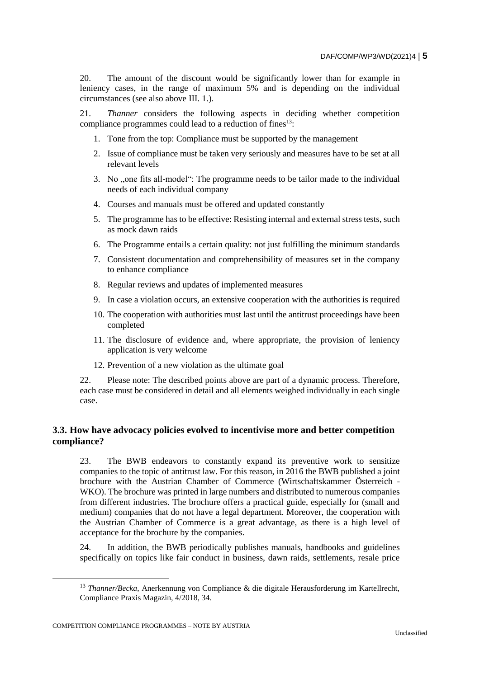20. The amount of the discount would be significantly lower than for example in leniency cases, in the range of maximum 5% and is depending on the individual circumstances (see also above III. 1.).

21. *Thanner* considers the following aspects in deciding whether competition compliance programmes could lead to a reduction of fines<sup>13</sup>:

- 1. Tone from the top: Compliance must be supported by the management
- 2. Issue of compliance must be taken very seriously and measures have to be set at all relevant levels
- 3. No <sub>yo</sub>one fits all-model": The programme needs to be tailor made to the individual needs of each individual company
- 4. Courses and manuals must be offered and updated constantly
- 5. The programme has to be effective: Resisting internal and external stress tests, such as mock dawn raids
- 6. The Programme entails a certain quality: not just fulfilling the minimum standards
- 7. Consistent documentation and comprehensibility of measures set in the company to enhance compliance
- 8. Regular reviews and updates of implemented measures
- 9. In case a violation occurs, an extensive cooperation with the authorities is required
- 10. The cooperation with authorities must last until the antitrust proceedings have been completed
- 11. The disclosure of evidence and, where appropriate, the provision of leniency application is very welcome
- 12. Prevention of a new violation as the ultimate goal

22. Please note: The described points above are part of a dynamic process. Therefore, each case must be considered in detail and all elements weighed individually in each single case.

### **3.3. How have advocacy policies evolved to incentivise more and better competition compliance?**

23. The BWB endeavors to constantly expand its preventive work to sensitize companies to the topic of antitrust law. For this reason, in 2016 the BWB published a joint brochure with the Austrian Chamber of Commerce (Wirtschaftskammer Österreich - WKO). The brochure was printed in large numbers and distributed to numerous companies from different industries. The brochure offers a practical guide, especially for (small and medium) companies that do not have a legal department. Moreover, the cooperation with the Austrian Chamber of Commerce is a great advantage, as there is a high level of acceptance for the brochure by the companies.

24. In addition, the BWB periodically publishes manuals, handbooks and guidelines specifically on topics like fair conduct in business, dawn raids, settlements, resale price

<sup>13</sup> *Thanner/Becka*, Anerkennung von Compliance & die digitale Herausforderung im Kartellrecht, Compliance Praxis Magazin, 4/2018, 34.